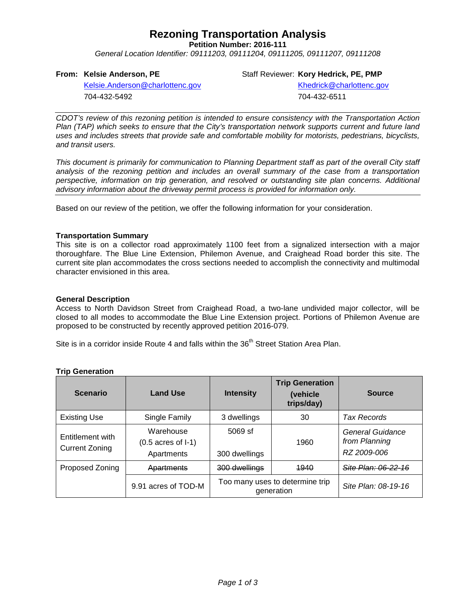## **Rezoning Transportation Analysis**

**Petition Number: 2016-111**

*General Location Identifier: 09111203, 09111204, 09111205, 09111207, 09111208*

#### **From: Kelsie Anderson, PE**

Staff Reviewer: **Kory Hedrick, PE, PMP**

[Kelsie.Anderson@charlottenc.gov](mailto:Kelsie.Anderson@charlottenc.gov) 704-432-5492

Khedrick@charlottenc.gov 704-432-6511

*CDOT's review of this rezoning petition is intended to ensure consistency with the Transportation Action Plan (TAP) which seeks to ensure that the City's transportation network supports current and future land uses and includes streets that provide safe and comfortable mobility for motorists, pedestrians, bicyclists, and transit users.*

*This document is primarily for communication to Planning Department staff as part of the overall City staff analysis of the rezoning petition and includes an overall summary of the case from a transportation perspective, information on trip generation, and resolved or outstanding site plan concerns. Additional advisory information about the driveway permit process is provided for information only.*

Based on our review of the petition, we offer the following information for your consideration.

#### **Transportation Summary**

This site is on a collector road approximately 1100 feet from a signalized intersection with a major thoroughfare. The Blue Line Extension, Philemon Avenue, and Craighead Road border this site. The current site plan accommodates the cross sections needed to accomplish the connectivity and multimodal character envisioned in this area.

#### **General Description**

Access to North Davidson Street from Craighead Road, a two-lane undivided major collector, will be closed to all modes to accommodate the Blue Line Extension project. Portions of Philemon Avenue are proposed to be constructed by recently approved petition 2016-079.

Site is in a corridor inside Route 4 and falls within the 36<sup>th</sup> Street Station Area Plan.

| <b>Scenario</b>                           | <b>Land Use</b>                                          | <b>Intensity</b>                              | <b>Trip Generation</b><br>(vehicle<br>trips/day) | <b>Source</b>                                    |
|-------------------------------------------|----------------------------------------------------------|-----------------------------------------------|--------------------------------------------------|--------------------------------------------------|
| <b>Existing Use</b>                       | Single Family                                            | 3 dwellings                                   | 30                                               | Tax Records                                      |
| Entitlement with<br><b>Current Zoning</b> | Warehouse<br>$(0.5 \text{ acres of } I-1)$<br>Apartments | $5069$ sf<br>300 dwellings                    | 1960                                             | General Guidance<br>from Planning<br>RZ 2009-006 |
| Proposed Zoning                           | Apartments                                               | 300 dwellings                                 | 1940                                             | Site Plan: 06-22-16                              |
|                                           | 9.91 acres of TOD-M                                      | Too many uses to determine trip<br>generation |                                                  | Site Plan: 08-19-16                              |

## **Trip Generation**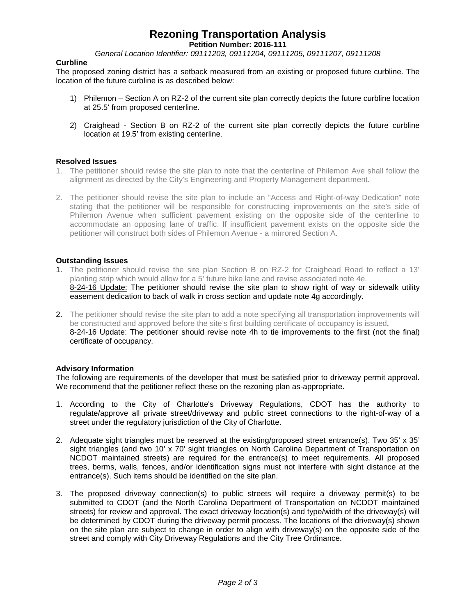# **Rezoning Transportation Analysis**

**Petition Number: 2016-111**

*General Location Identifier: 09111203, 09111204, 09111205, 09111207, 09111208*

#### **Curbline**

The proposed zoning district has a setback measured from an existing or proposed future curbline. The location of the future curbline is as described below:

- 1) Philemon Section A on RZ-2 of the current site plan correctly depicts the future curbline location at 25.5' from proposed centerline.
- 2) Craighead Section B on RZ-2 of the current site plan correctly depicts the future curbline location at 19.5' from existing centerline.

#### **Resolved Issues**

- 1. The petitioner should revise the site plan to note that the centerline of Philemon Ave shall follow the alignment as directed by the City's Engineering and Property Management department.
- 2. The petitioner should revise the site plan to include an "Access and Right-of-way Dedication" note stating that the petitioner will be responsible for constructing improvements on the site's side of Philemon Avenue when sufficient pavement existing on the opposite side of the centerline to accommodate an opposing lane of traffic. If insufficient pavement exists on the opposite side the petitioner will construct both sides of Philemon Avenue - a mirrored Section A.

#### **Outstanding Issues**

- 1. The petitioner should revise the site plan Section B on RZ-2 for Craighead Road to reflect a 13' planting strip which would allow for a 5' future bike lane and revise associated note 4e. 8-24-16 Update: The petitioner should revise the site plan to show right of way or sidewalk utility easement dedication to back of walk in cross section and update note 4g accordingly.
- 2. The petitioner should revise the site plan to add a note specifying all transportation improvements will be constructed and approved before the site's first building certificate of occupancy is issued. 8-24-16 Update: The petitioner should revise note 4h to tie improvements to the first (not the final) certificate of occupancy.

#### **Advisory Information**

The following are requirements of the developer that must be satisfied prior to driveway permit approval. We recommend that the petitioner reflect these on the rezoning plan as-appropriate.

- 1. According to the City of Charlotte's Driveway Regulations, CDOT has the authority to regulate/approve all private street/driveway and public street connections to the right-of-way of a street under the regulatory jurisdiction of the City of Charlotte.
- 2. Adequate sight triangles must be reserved at the existing/proposed street entrance(s). Two 35' x 35' sight triangles (and two 10' x 70' sight triangles on North Carolina Department of Transportation on NCDOT maintained streets) are required for the entrance(s) to meet requirements. All proposed trees, berms, walls, fences, and/or identification signs must not interfere with sight distance at the entrance(s). Such items should be identified on the site plan.
- 3. The proposed driveway connection(s) to public streets will require a driveway permit(s) to be submitted to CDOT (and the North Carolina Department of Transportation on NCDOT maintained streets) for review and approval. The exact driveway location(s) and type/width of the driveway(s) will be determined by CDOT during the driveway permit process. The locations of the driveway(s) shown on the site plan are subject to change in order to align with driveway(s) on the opposite side of the street and comply with City Driveway Regulations and the City Tree Ordinance.